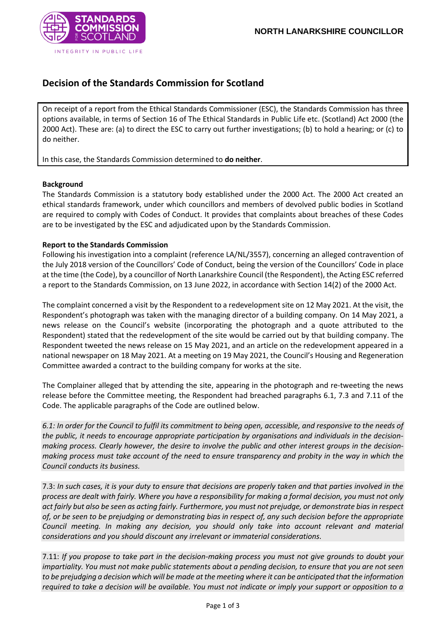

## **Decision of the Standards Commission for Scotland**

On receipt of a report from the Ethical Standards Commissioner (ESC), the Standards Commission has three options available, in terms of Section 16 of The Ethical Standards in Public Life etc. (Scotland) Act 2000 (the 2000 Act). These are: (a) to direct the ESC to carry out further investigations; (b) to hold a hearing; or (c) to do neither.

In this case, the Standards Commission determined to **do neither**.

## **Background**

The Standards Commission is a statutory body established under the 2000 Act. The 2000 Act created an ethical standards framework, under which councillors and members of devolved public bodies in Scotland are required to comply with Codes of Conduct. It provides that complaints about breaches of these Codes are to be investigated by the ESC and adjudicated upon by the Standards Commission.

## **Report to the Standards Commission**

Following his investigation into a complaint (reference LA/NL/3557), concerning an alleged contravention of the July 2018 version of the Councillors' Code of Conduct, being the version of the Councillors' Code in place at the time (the Code), by a councillor of North Lanarkshire Council (the Respondent), the Acting ESC referred a report to the Standards Commission, on 13 June 2022, in accordance with Section 14(2) of the 2000 Act.

The complaint concerned a visit by the Respondent to a redevelopment site on 12 May 2021. At the visit, the Respondent's photograph was taken with the managing director of a building company. On 14 May 2021, a news release on the Council's website (incorporating the photograph and a quote attributed to the Respondent) stated that the redevelopment of the site would be carried out by that building company. The Respondent tweeted the news release on 15 May 2021, and an article on the redevelopment appeared in a national newspaper on 18 May 2021. At a meeting on 19 May 2021, the Council's Housing and Regeneration Committee awarded a contract to the building company for works at the site.

The Complainer alleged that by attending the site, appearing in the photograph and re-tweeting the news release before the Committee meeting, the Respondent had breached paragraphs 6.1, 7.3 and 7.11 of the Code. The applicable paragraphs of the Code are outlined below.

*6.1: In order for the Council to fulfil its commitment to being open, accessible, and responsive to the needs of the public, it needs to encourage appropriate participation by organisations and individuals in the decisionmaking process. Clearly however, the desire to involve the public and other interest groups in the decisionmaking process must take account of the need to ensure transparency and probity in the way in which the Council conducts its business.*

7.3: *In such cases, it is your duty to ensure that decisions are properly taken and that parties involved in the process are dealt with fairly. Where you have a responsibility for making a formal decision, you must not only act fairly but also be seen as acting fairly. Furthermore, you must not prejudge, or demonstrate bias in respect of, or be seen to be prejudging or demonstrating bias in respect of, any such decision before the appropriate Council meeting. In making any decision, you should only take into account relevant and material considerations and you should discount any irrelevant or immaterial considerations.*

7.11: *If you propose to take part in the decision-making process you must not give grounds to doubt your impartiality. You must not make public statements about a pending decision, to ensure that you are not seen to be prejudging a decision which will be made at the meeting where it can be anticipated that the information required to take a decision will be available. You must not indicate or imply your support or opposition to a*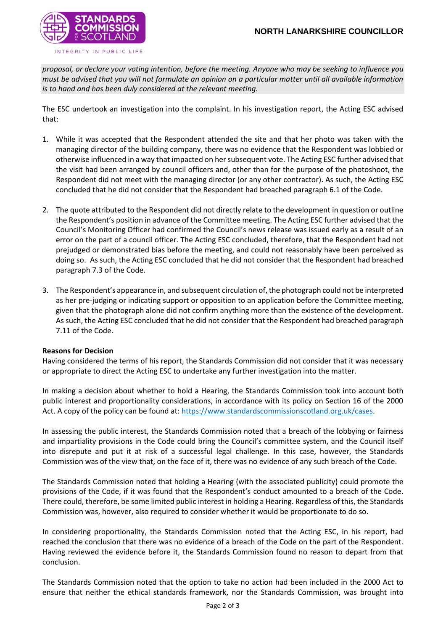

*proposal, or declare your voting intention, before the meeting. Anyone who may be seeking to influence you must be advised that you will not formulate an opinion on a particular matter until all available information is to hand and has been duly considered at the relevant meeting.*

The ESC undertook an investigation into the complaint. In his investigation report, the Acting ESC advised that:

- 1. While it was accepted that the Respondent attended the site and that her photo was taken with the managing director of the building company, there was no evidence that the Respondent was lobbied or otherwise influenced in a way that impacted on her subsequent vote. The Acting ESC further advised that the visit had been arranged by council officers and, other than for the purpose of the photoshoot, the Respondent did not meet with the managing director (or any other contractor). As such, the Acting ESC concluded that he did not consider that the Respondent had breached paragraph 6.1 of the Code.
- 2. The quote attributed to the Respondent did not directly relate to the development in question or outline the Respondent's position in advance of the Committee meeting. The Acting ESC further advised that the Council's Monitoring Officer had confirmed the Council's news release was issued early as a result of an error on the part of a council officer. The Acting ESC concluded, therefore, that the Respondent had not prejudged or demonstrated bias before the meeting, and could not reasonably have been perceived as doing so. As such, the Acting ESC concluded that he did not consider that the Respondent had breached paragraph 7.3 of the Code.
- 3. The Respondent's appearance in, and subsequent circulation of, the photograph could not be interpreted as her pre-judging or indicating support or opposition to an application before the Committee meeting, given that the photograph alone did not confirm anything more than the existence of the development. As such, the Acting ESC concluded that he did not consider that the Respondent had breached paragraph 7.11 of the Code.

## **Reasons for Decision**

Having considered the terms of his report, the Standards Commission did not consider that it was necessary or appropriate to direct the Acting ESC to undertake any further investigation into the matter.

In making a decision about whether to hold a Hearing, the Standards Commission took into account both public interest and proportionality considerations, in accordance with its policy on Section 16 of the 2000 Act. A copy of the policy can be found at: [https://www.standardscommissionscotland.org.uk/cases.](https://www.standardscommissionscotland.org.uk/cases)

In assessing the public interest, the Standards Commission noted that a breach of the lobbying or fairness and impartiality provisions in the Code could bring the Council's committee system, and the Council itself into disrepute and put it at risk of a successful legal challenge. In this case, however, the Standards Commission was of the view that, on the face of it, there was no evidence of any such breach of the Code.

The Standards Commission noted that holding a Hearing (with the associated publicity) could promote the provisions of the Code, if it was found that the Respondent's conduct amounted to a breach of the Code. There could, therefore, be some limited public interest in holding a Hearing. Regardless of this, the Standards Commission was, however, also required to consider whether it would be proportionate to do so.

In considering proportionality, the Standards Commission noted that the Acting ESC, in his report, had reached the conclusion that there was no evidence of a breach of the Code on the part of the Respondent. Having reviewed the evidence before it, the Standards Commission found no reason to depart from that conclusion.

The Standards Commission noted that the option to take no action had been included in the 2000 Act to ensure that neither the ethical standards framework, nor the Standards Commission, was brought into